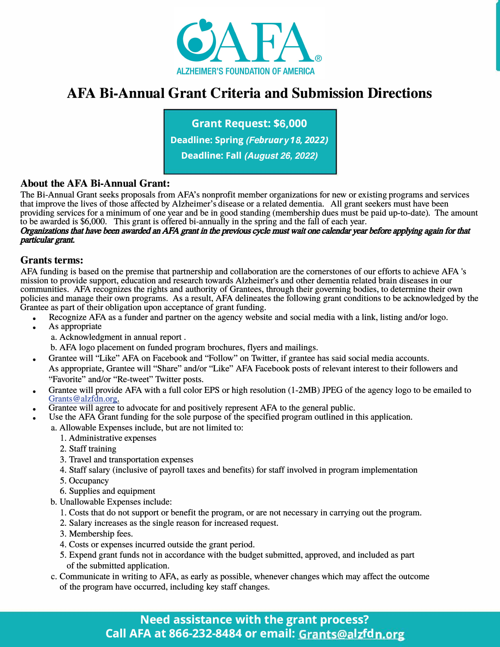

# **AFA Bi-Annual Grant Criteria and Submission Directions**

**Grant Request: \$6,000** 

**Deadline: Spring** *(February 18, 2022)*

**Deadline: Fall** *(August 26, 2022)*

### **About the AFA Bi-Annual Grant:**

The Bi-Annual Grant seeks proposals from AFA's nonprofit member organizations for new or existing programs and services that improve the lives of those affected by Alzheimer's disease or a related dementia. All grant seekers must have been providing services for a minimum of one year and be in good standing (membership dues must be paid up-to-date). The amount to be awarded is \$6,000. This grant is offered bi-annually in the spring and the fall of each year.

#### Organizations that have been awarded an AFA grant in the previous cycle must wait one calendar year before applying again for that particular grant.

#### **Grants terms:**

AFA funding is based on the premise that partnership and collaboration are the cornerstones of our efforts to achieve AFA 's mission to provide support, education and research towards Alzheimer's and other dementia related brain diseases in our communities. AFA recognizes the rights and authority of Grantees, through their governing bodies, to determine their own policies and manage their own programs. As a result, AFA delineates the following grant conditions to be acknowledged by the Grantee as part of their obligation upon acceptance of grant funding.

- Recognize AFA as a funder and partner on the agency website and social media with a link, listing and/or logo.
- As appropriate
	- a. Acknowledgment in annual report .
	- b. AFA logo placement on funded program brochures, flyers and mailings.
- Grantee will "Like" AFA on Facebook and "Follow" on Twitter, if grantee has said social media accounts. As appropriate, Grantee will "Share" and/or "Like" AFA Facebook posts of relevant interest to their followers and "Favorite" and/or "Re-tweet" Twitter posts.
- Grantee will provide AFA with a full color EPS or high resolution (l-2MB) JPEG of the agency logo to be emailed to Grants@alzfdn.org.
- Grantee will agree to advocate for and positively represent AFA to the general public.
- Use the AFA Grant funding for the sole purpose of the specified program outlined in this application.
	- a. Allowable Expenses include, but are not limited to:
		- 1. Administrative expenses
		- 2. Staff training
		- 3. Travel and transportation expenses
		- 4. Staff salary (inclusive of payroll taxes and benefits) for staff involved in program implementation
		- 5. Occupancy
		- 6. Supplies and equipment
		- b. Unallowable Expenses include:
			- 1. Costs that do not support or benefit the program, or are not necessary in carrying out the program.
			- 2. Salary increases as the single reason for increased request.
			- 3. Membership fees.
			- 4. Costs or expenses incurred outside the grant period.
			- 5. Expend grant funds not in accordance with the budget submitted, approved, and included as part of the submitted application.
		- c. Communicate in writing to AFA, as early as possible, whenever changes which may affect the outcome of the program have occurred, including key staff changes.

**Need assistance with the grant process? Call AFA at 866-232-8484 or email: Grants@alzfdn.org**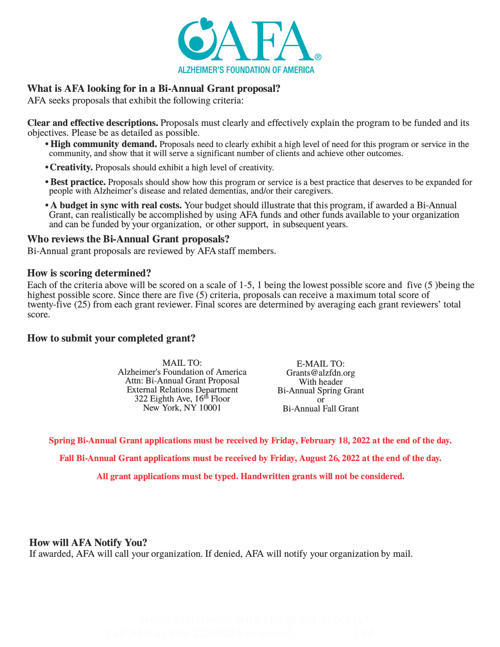

### **What is AFA looking for in a Bi-Annual Grant proposal?**

AFA seeks proposals that exhibit the following criteria:

**Clear and effective descriptions.** Proposals must clearly and effectively explain the program to be funded and its objectives. Please be as detailed as possible.

- **High community demand.** Proposals need to clearly exhibit a high level of need for this program or service in the community, and show that it will serve a significant number of clients and achieve other outcomes.
- •**Creativity.** Proposals should exhibit a high level of creativity.
- **Best practice.** Proposals should show how this program or service is a best practice that deserves to be expanded for people with Alzheimer's disease and related dementias, and/or their caregivers.
- **A budget in sync with real costs.** Your budget should illustrate that this program, if awarded a Bi-Annual Grant, can realistically be accomplished by using AFA funds and other funds available to your organization and can be funded by your organization, or other support, in subsequent years.

#### **Who reviews the Bi-Annual Grant proposals?**

Bi-Annual grant proposals are reviewed by AFA staff members.

#### **How is scoring determined?**

Each of the criteria above will be scored on a scale of 1-5, 1 being the lowest possible score and five (5 )being the highest possible score. Since there are five (5) criteria, proposals can receive a maximum total score of twenty-five (25) from each grant reviewer. Final scores are determined by averaging each grant reviewers' total score.

#### **How to submit your completed grant?**

MAIL TO: E-MAIL TO:<br>Foundation of America Grants@alzfdn.org Alzheimer's Foundation of America<br>
Attn: Bi-Annual Grant Proposal With header Attn: Bi-Annual Grant Proposal<br>
External Relations Department<br>
Bi-Annual Spring Grant External Relations Department Bi-Annual Sp<br>322 Eighth Ave.  $16^{th}$  Floor or  $322$  Eighth Ave,  $16<sup>th</sup>$  Floor<br>New York, NY 10001

Bi-Annual Fall Grant

**Spring Bi-Annual Grant applications must be received by Friday, February 18, 2022 at the end of the day.** 

**Fall Bi-Annual Grant applications must be received by Friday, August 26, 2022 at the end of the day.** 

**All grant applications must be typed. Handwritten grants will not be considered.** 

**How will AFA Notify You?** 

If awarded, AFA will call your organization. If denied, AFA will notify your organization by mail.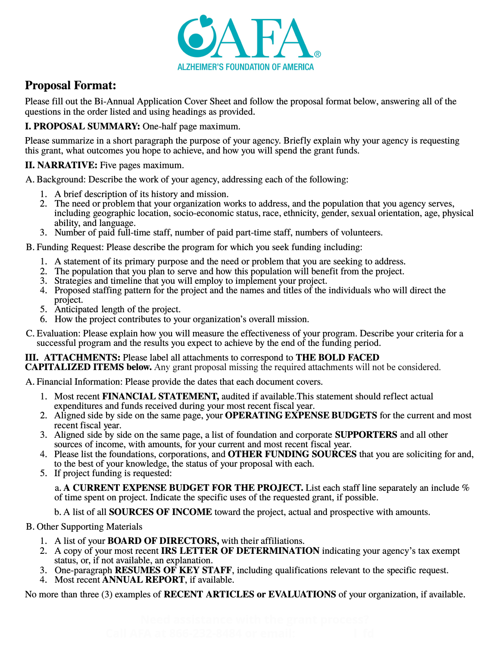

# **Proposal Format:**

Please fill out the Bi-Annual Application Cover Sheet and follow the proposal format below, answering all of the questions in the order listed and using headings as provided.

I. **PROPOSAL SUMMARY:** One-half page maximum.

Please summarize in a short paragraph the purpose of your agency. Briefly explain why your agency is requesting this grant, what outcomes you hope to achieve, and how you will spend the grant funds.

II. **NARRATIVE:** Five pages maximum.

A. Background: Describe the work of your agency, addressing each of the following:

- 1. A brief description of its history and mission.
- 2. The need or problem that your organization works to address, and the population that you agency serves, including geographic location, socio-economic status, race, ethnicity, gender, sexual orientation, age, physical ability, and language.
- 3. Number of paid full-time staff, number of paid part-time staff, numbers of volunteers.

B. Funding Request: Please describe the program for which you seek funding including:

- 1. A statement of its primary purpose and the need or problem that you are seeking to address.
- 2. The population that you plan to serve and how this population will benefit from the project.
- 3. Strategies and timeline that you will employ to implement your project.
- 4. Proposed staffing pattern for the project and the names and titles of the individuals who will direct the project.
- 5. Anticipated length of the project.
- 6. How the project contributes to your organization's overall mission.
- C. Evaluation: Please explain how you will measure the effectiveness of your program. Describe your criteria for a successful program and the results you expect to achieve by the end of the funding period.

# III. **ATTACHMENTS:** Please label all attachments to correspond to **THE BOLD FACED**

**CAPITALIZED ITEMS below.** Any grant proposal missing the required attachments will not be considered.

A. Financial Information: Please provide the dates that each document covers.

- 1. Most recent **FINANCIAL STATEMENT,** audited if available.This statement should reflect actual expenditures and funds received during your most recent fiscal year.
- 2. Aligned side by side on the same page, your **OPERATING EXPENSE BUDGETS** for the current and most recent fiscal year.
- 3. Aligned side by side on the same page, a list of foundation and corporate **SUPPORTERS** and all other sources of income, with amounts, for your current and most recent fiscal year.
- 4. Please list the foundations, corporations, and **OTHER FUNDING SOURCES** that you are soliciting for and, to the best of your knowledge, the status of your proposal with each.
- 5. If project funding is requested:

a. **A CURRENT EXPENSE BUDGET FOR THE PROJECT.** List each staff line separately an include % of time spent on project. Indicate the specific uses of the requested grant, if possible.

b. A list of all **SOURCES OF INCOME** toward the project, actual and prospective with amounts.

B. Other Supporting Materials

- 1. A list of your **BOARD OF DIRECTORS,** with their affiliations.
- 2. A copy of your most recent **IRS LETTER OF DETERMINATION** indicating your agency 's tax exempt status, or, if not available, an explanation.
- 3. One-paragraph **RESUMES OF KEY STAFF,** including qualifications relevant to the specific request.
- 4. Most recent **ANNUAL REPORT,** if available.

No more than three (3) examples of **RECENT ARTICLES or EVALUATIONS** of your organization, if available.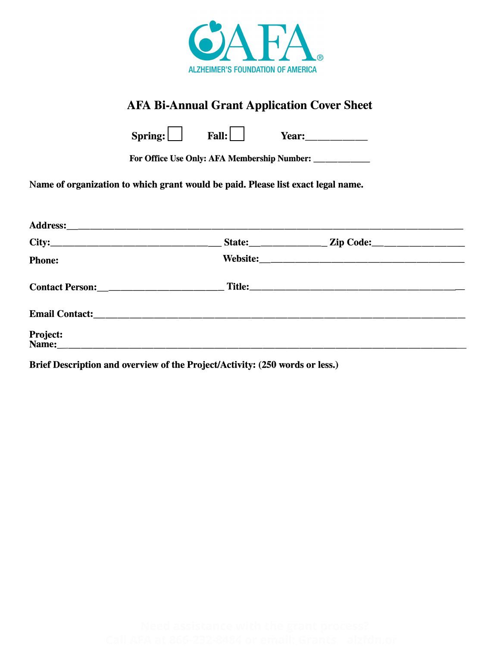

# **AFA Bi-Annual Grant Application Cover Sheet**

**Spring: Fall: PEAL: Year:** 2010

**For Office Use Only: AFA Membership Number: \_\_\_\_ \_** 

**Name of organization to which grant would be paid. Please list exact legal name.** 

|                                                                                                                                                                                                                                            | State: | Zip Code:________________ |  |
|--------------------------------------------------------------------------------------------------------------------------------------------------------------------------------------------------------------------------------------------|--------|---------------------------|--|
| <b>Phone:</b>                                                                                                                                                                                                                              |        |                           |  |
| Contact Person: <u>______________________</u>                                                                                                                                                                                              |        |                           |  |
|                                                                                                                                                                                                                                            |        |                           |  |
| Project:<br>Name: Name and the state of the state of the state of the state of the state of the state of the state of the state of the state of the state of the state of the state of the state of the state of the state of the state of |        |                           |  |

**Brief Description and overview of the Project/Activity: (250 words or less.)**